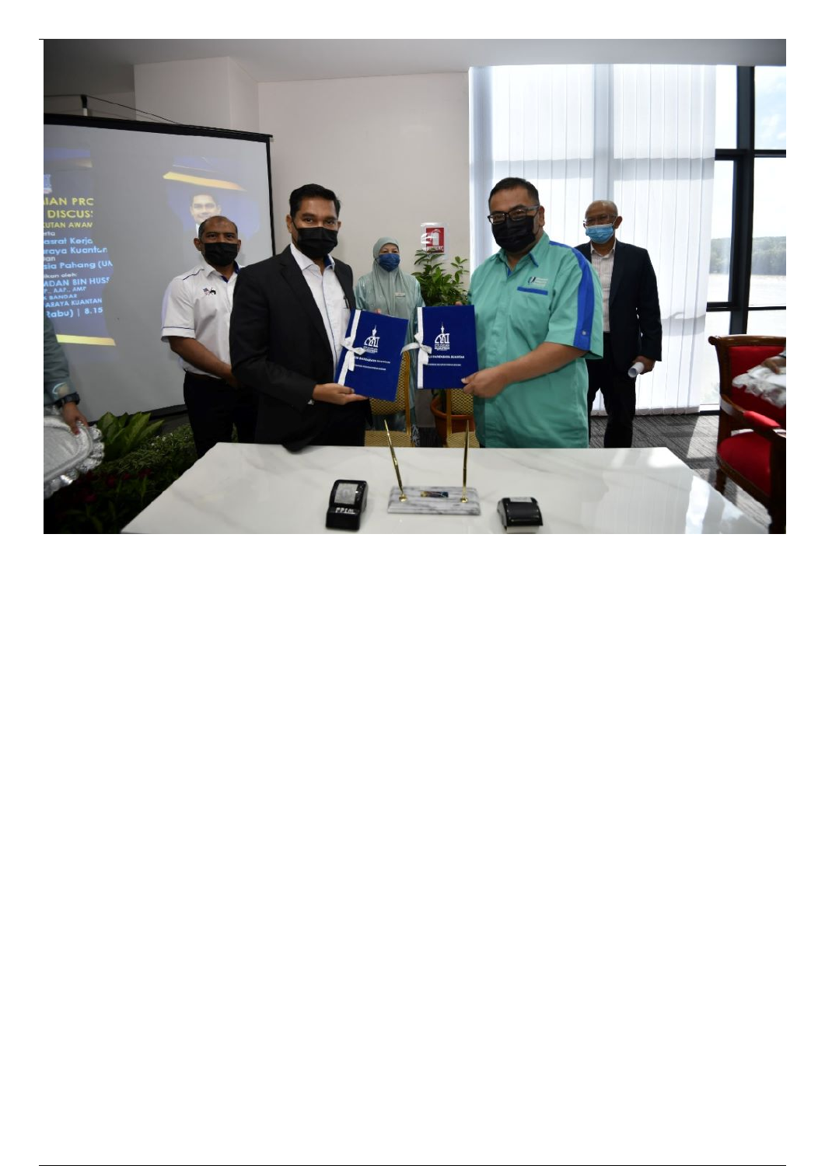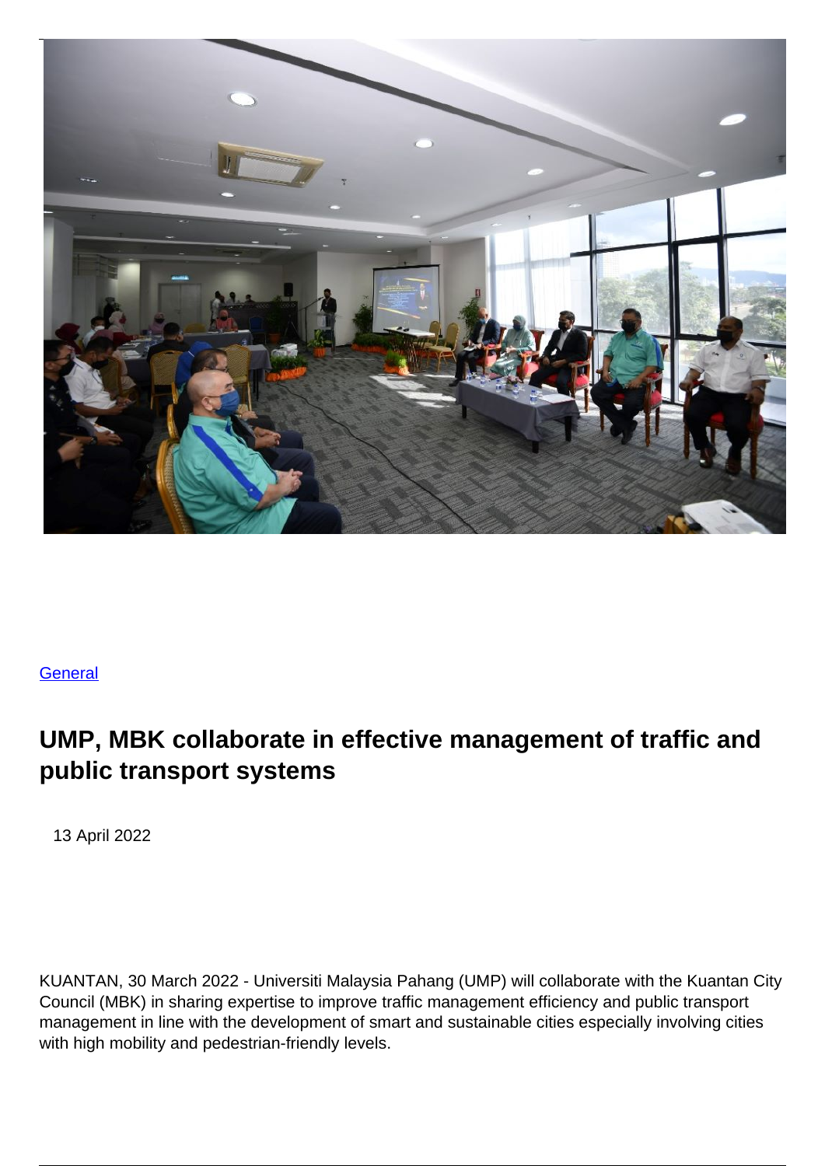

## **[General](/general)**

## **UMP, MBK collaborate in effective management of traffic and public transport systems**

13 April 2022

KUANTAN, 30 March 2022 - Universiti Malaysia Pahang (UMP) will collaborate with the Kuantan City Council (MBK) in sharing expertise to improve traffic management efficiency and public transport management in line with the development of smart and sustainable cities especially involving cities with high mobility and pedestrian-friendly levels.